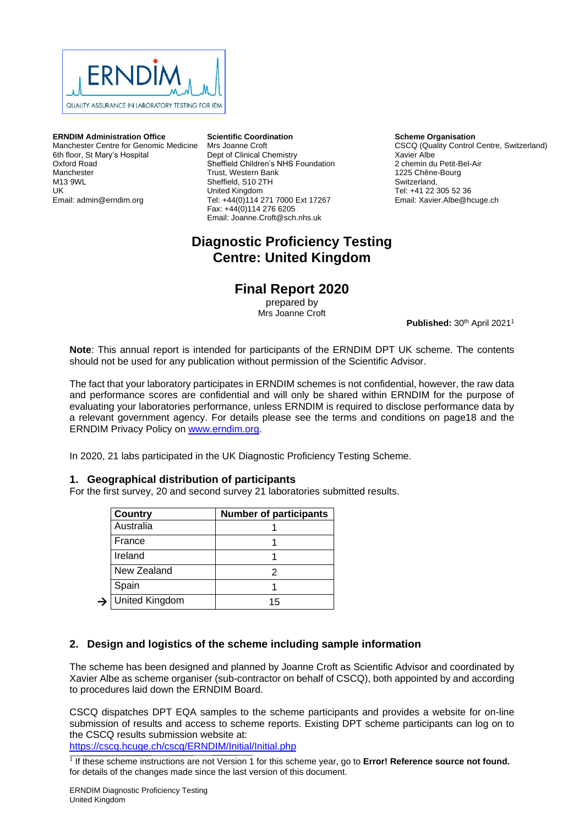

**ERNDIM Administration Office** Manchester Centre for Genomic Medicine 6th floor, St Mary's Hospital Oxford Road Manchester M13 9WL UK Email: admin@erndim.org

**Scientific Coordination** Mrs Joanne Croft Dept of Clinical Chemistry Sheffield Children's NHS Foundation Trust, Western Bank Sheffield, S10 2TH United Kingdom Tel: +44(0)114 271 7000 Ext 17267 Fax: +44(0)114 276 6205 Email: Joanne.Croft@sch.nhs.uk

# **Diagnostic Proficiency Testing Centre: United Kingdom**

# **Final Report 2020**

prepared by Mrs Joanne Croft

Published: 30<sup>th</sup> April 2021<sup>1</sup>

**Scheme Organisation**

2 chemin du Petit-Bel-Air 1225 Chêne-Bourg Switzerland, Tel: +41 22 305 52 36 Email: Xavier.Albe@hcuge.ch

Xavier Albe

CSCQ (Quality Control Centre, Switzerland)

**Note**: This annual report is intended for participants of the ERNDIM DPT UK scheme. The contents should not be used for any publication without permission of the Scientific Advisor.

The fact that your laboratory participates in ERNDIM schemes is not confidential, however, the raw data and performance scores are confidential and will only be shared within ERNDIM for the purpose of evaluating your laboratories performance, unless ERNDIM is required to disclose performance data by a relevant government agency. For details please see the terms and conditions on page18 and the ERNDIM Privacy Policy on [www.erndim.org.](http://www.erndim.org/)

In 2020, 21 labs participated in the UK Diagnostic Proficiency Testing Scheme.

## **1. Geographical distribution of participants**

For the first survey, 20 and second survey 21 laboratories submitted results.

| <b>Country</b>        | <b>Number of participants</b> |
|-----------------------|-------------------------------|
| Australia             |                               |
| France                |                               |
| Ireland               |                               |
| New Zealand           |                               |
| Spain                 |                               |
| <b>United Kingdom</b> | 15                            |

# **2. Design and logistics of the scheme including sample information**

The scheme has been designed and planned by Joanne Croft as Scientific Advisor and coordinated by Xavier Albe as scheme organiser (sub-contractor on behalf of CSCQ), both appointed by and according to procedures laid down the ERNDIM Board.

CSCQ dispatches DPT EQA samples to the scheme participants and provides a website for on-line submission of results and access to scheme reports. Existing DPT scheme participants can log on to the CSCQ results submission website at:

<https://cscq.hcuge.ch/cscq/ERNDIM/Initial/Initial.php>

<sup>1</sup> If these scheme instructions are not Version 1 for this scheme year, go to **Error! Reference source not found.** for details of the changes made since the last version of this document.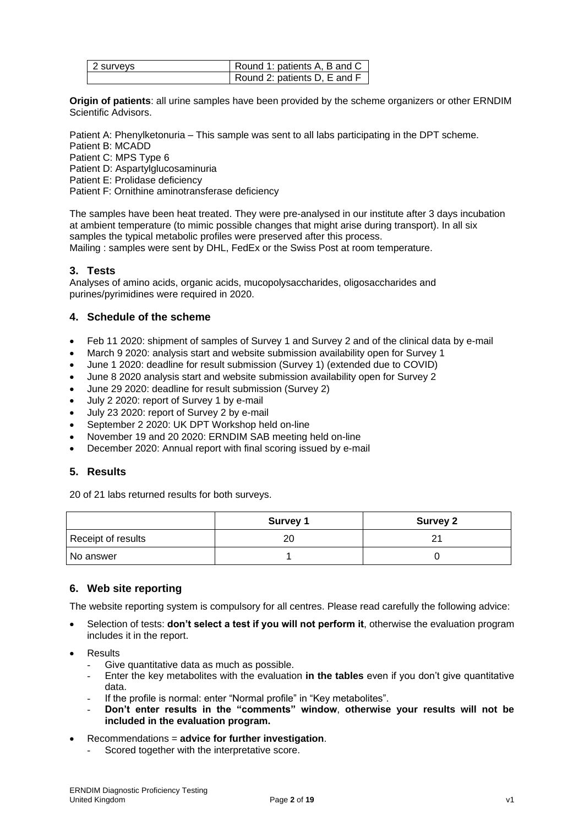| 2 surveys | Round 1: patients A, B and C |
|-----------|------------------------------|
|           | Round 2: patients D, E and F |

**Origin of patients**: all urine samples have been provided by the scheme organizers or other ERNDIM Scientific Advisors.

Patient A: Phenylketonuria – This sample was sent to all labs participating in the DPT scheme.

Patient B: MCADD

Patient C: MPS Type 6 Patient D: Aspartylglucosaminuria

Patient E: Prolidase deficiency

Patient F: Ornithine aminotransferase deficiency

The samples have been heat treated. They were pre-analysed in our institute after 3 days incubation at ambient temperature (to mimic possible changes that might arise during transport). In all six samples the typical metabolic profiles were preserved after this process. Mailing : samples were sent by DHL, FedEx or the Swiss Post at room temperature.

# **3. Tests**

Analyses of amino acids, organic acids, mucopolysaccharides, oligosaccharides and purines/pyrimidines were required in 2020.

# **4. Schedule of the scheme**

- Feb 11 2020: shipment of samples of Survey 1 and Survey 2 and of the clinical data by e-mail
- March 9 2020: analysis start and website submission availability open for Survey 1
- June 1 2020: deadline for result submission (Survey 1) (extended due to COVID)
- June 8 2020 analysis start and website submission availability open for Survey 2
- June 29 2020: deadline for result submission (Survey 2)
- July 2 2020: report of Survey 1 by e-mail
- July 23 2020: report of Survey 2 by e-mail
- September 2 2020: UK DPT Workshop held on-line
- November 19 and 20 2020: ERNDIM SAB meeting held on-line
- December 2020: Annual report with final scoring issued by e-mail

# **5. Results**

20 of 21 labs returned results for both surveys.

|                    | <b>Survey 1</b> | <b>Survey 2</b> |
|--------------------|-----------------|-----------------|
| Receipt of results | 20              |                 |
| l No answer        |                 |                 |

# **6. Web site reporting**

The website reporting system is compulsory for all centres. Please read carefully the following advice:

- Selection of tests: **don't select a test if you will not perform it**, otherwise the evaluation program includes it in the report.
- **Results** 
	- Give quantitative data as much as possible.
	- Enter the key metabolites with the evaluation **in the tables** even if you don't give quantitative data.
	- If the profile is normal: enter "Normal profile" in "Key metabolites".
	- **Don't enter results in the "comments" window**, **otherwise your results will not be included in the evaluation program.**
- Recommendations = **advice for further investigation**.
	- Scored together with the interpretative score.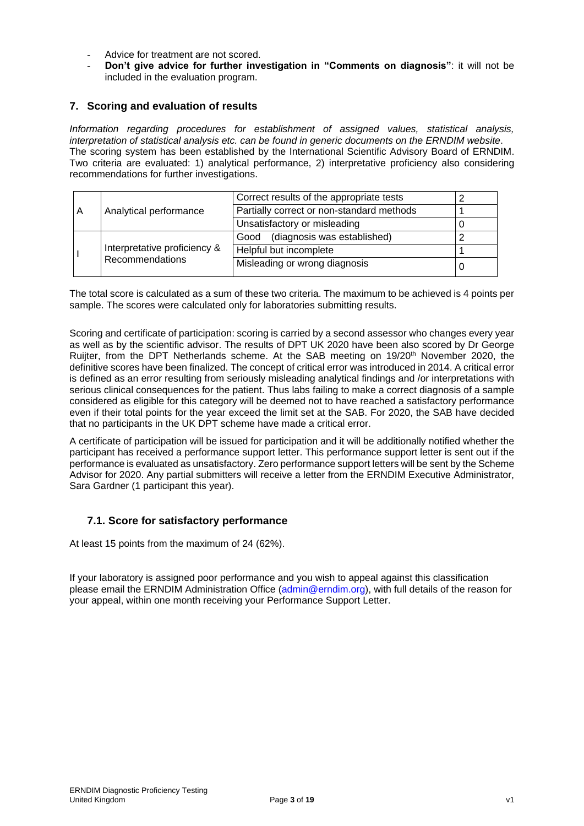- Advice for treatment are not scored.
- **Don't give advice for further investigation in "Comments on diagnosis"**: it will not be included in the evaluation program.

# **7. Scoring and evaluation of results**

*Information regarding procedures for establishment of assigned values, statistical analysis, interpretation of statistical analysis etc. can be found in generic documents on the ERNDIM website*. The scoring system has been established by the International Scientific Advisory Board of ERNDIM. Two criteria are evaluated: 1) analytical performance, 2) interpretative proficiency also considering recommendations for further investigations.

|   |                 |                               | Correct results of the appropriate tests  |  |
|---|-----------------|-------------------------------|-------------------------------------------|--|
| A |                 | Analytical performance        | Partially correct or non-standard methods |  |
|   |                 |                               | Unsatisfactory or misleading              |  |
|   |                 |                               | (diagnosis was established)<br>Good       |  |
|   |                 | Interpretative proficiency &  | Helpful but incomplete                    |  |
|   | Recommendations | Misleading or wrong diagnosis |                                           |  |

The total score is calculated as a sum of these two criteria. The maximum to be achieved is 4 points per sample. The scores were calculated only for laboratories submitting results.

Scoring and certificate of participation: scoring is carried by a second assessor who changes every year as well as by the scientific advisor. The results of DPT UK 2020 have been also scored by Dr George Ruijter, from the DPT Netherlands scheme. At the SAB meeting on 19/20th November 2020, the definitive scores have been finalized. The concept of critical error was introduced in 2014. A critical error is defined as an error resulting from seriously misleading analytical findings and /or interpretations with serious clinical consequences for the patient. Thus labs failing to make a correct diagnosis of a sample considered as eligible for this category will be deemed not to have reached a satisfactory performance even if their total points for the year exceed the limit set at the SAB. For 2020, the SAB have decided that no participants in the UK DPT scheme have made a critical error.

A certificate of participation will be issued for participation and it will be additionally notified whether the participant has received a performance support letter. This performance support letter is sent out if the performance is evaluated as unsatisfactory. Zero performance support letters will be sent by the Scheme Advisor for 2020. Any partial submitters will receive a letter from the ERNDIM Executive Administrator, Sara Gardner (1 participant this year).

# **7.1. Score for satisfactory performance**

At least 15 points from the maximum of 24 (62%).

If your laboratory is assigned poor performance and you wish to appeal against this classification please email the ERNDIM Administration Office (admin@erndim.org), with full details of the reason for your appeal, within one month receiving your Performance Support Letter.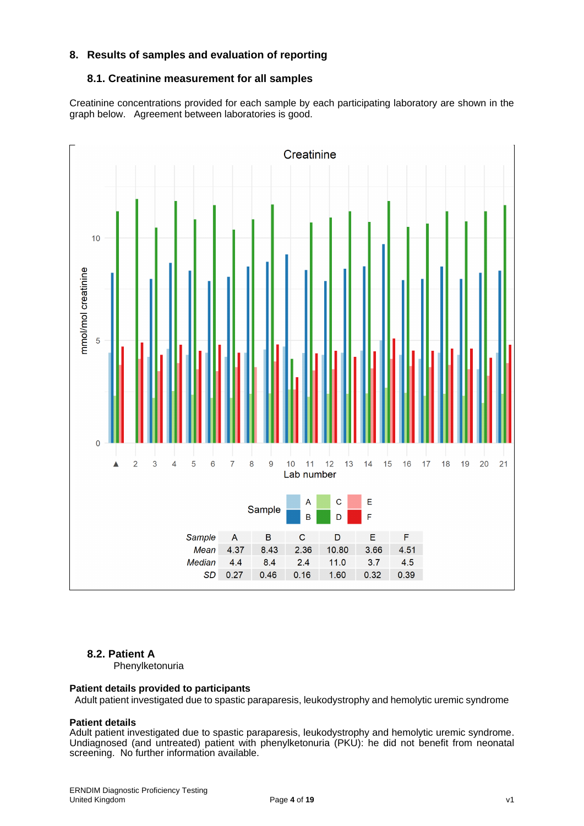# **8. Results of samples and evaluation of reporting**

# **8.1. Creatinine measurement for all samples**

Creatinine concentrations provided for each sample by each participating laboratory are shown in the graph below. Agreement between laboratories is good.



# **8.2. Patient A**

Phenylketonuria

#### **Patient details provided to participants**

Adult patient investigated due to spastic paraparesis, leukodystrophy and hemolytic uremic syndrome

# **Patient details**

Adult patient investigated due to spastic paraparesis, leukodystrophy and hemolytic uremic syndrome. Undiagnosed (and untreated) patient with phenylketonuria (PKU): he did not benefit from neonatal screening. No further information available.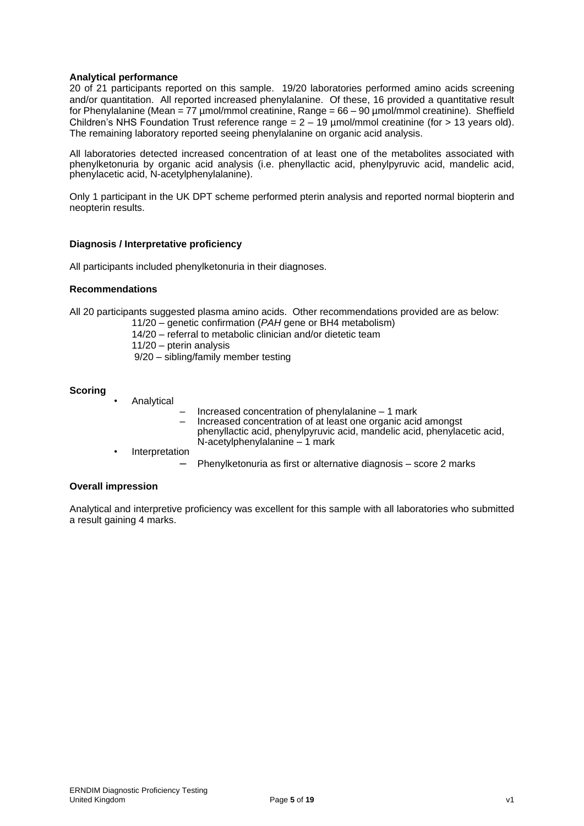## **Analytical performance**

20 of 21 participants reported on this sample. 19/20 laboratories performed amino acids screening and/or quantitation. All reported increased phenylalanine. Of these, 16 provided a quantitative result for Phenylalanine (Mean = 77 µmol/mmol creatinine, Range = 66 – 90 µmol/mmol creatinine). Sheffield Children's NHS Foundation Trust reference range  $= 2 - 19$  µmol/mmol creatinine (for  $> 13$  years old). The remaining laboratory reported seeing phenylalanine on organic acid analysis.

All laboratories detected increased concentration of at least one of the metabolites associated with phenylketonuria by organic acid analysis (i.e. phenyllactic acid, phenylpyruvic acid, mandelic acid, phenylacetic acid, N-acetylphenylalanine).

Only 1 participant in the UK DPT scheme performed pterin analysis and reported normal biopterin and neopterin results.

## **Diagnosis / Interpretative proficiency**

All participants included phenylketonuria in their diagnoses.

#### **Recommendations**

All 20 participants suggested plasma amino acids. Other recommendations provided are as below:

11/20 – genetic confirmation (*PAH* gene or BH4 metabolism)

14/20 – referral to metabolic clinician and/or dietetic team

- 11/20 pterin analysis
- 9/20 sibling/family member testing

#### **Scoring**

- **Analytical**
- Increased concentration of phenylalanine 1 mark
- Increased concentration of at least one organic acid amongst phenyllactic acid, phenylpyruvic acid, mandelic acid, phenylacetic acid, N-acetylphenylalanine – 1 mark
- **Interpretation** 
	- Phenylketonuria as first or alternative diagnosis score 2 marks

#### **Overall impression**

Analytical and interpretive proficiency was excellent for this sample with all laboratories who submitted a result gaining 4 marks.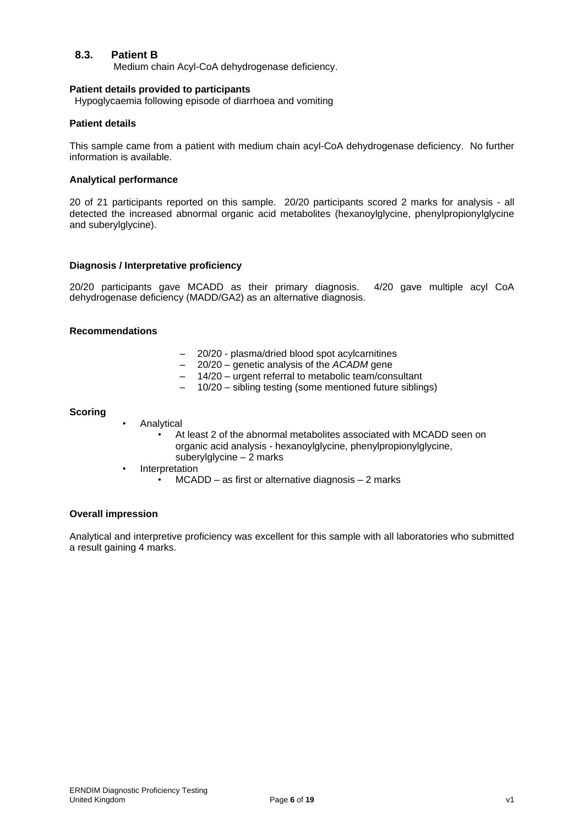# **8.3. Patient B**

Medium chain Acyl-CoA dehydrogenase deficiency.

#### **Patient details provided to participants**

Hypoglycaemia following episode of diarrhoea and vomiting

## **Patient details**

This sample came from a patient with medium chain acyl-CoA dehydrogenase deficiency. No further information is available.

#### **Analytical performance**

20 of 21 participants reported on this sample. 20/20 participants scored 2 marks for analysis - all detected the increased abnormal organic acid metabolites (hexanoylglycine, phenylpropionylglycine and suberylglycine).

#### **Diagnosis / Interpretative proficiency**

20/20 participants gave MCADD as their primary diagnosis. 4/20 gave multiple acyl CoA dehydrogenase deficiency (MADD/GA2) as an alternative diagnosis.

## **Recommendations**

- 20/20 plasma/dried blood spot acylcarnitines
- 20/20 genetic analysis of the *ACADM* gene
- 14/20 urgent referral to metabolic team/consultant
- 10/20 sibling testing (some mentioned future siblings)

#### **Scoring**

- **Analytical** 
	- At least 2 of the abnormal metabolites associated with MCADD seen on organic acid analysis - hexanoylglycine, phenylpropionylglycine, suberylglycine – 2 marks
	- **Interpretation** 
		- MCADD as first or alternative diagnosis 2 marks

## **Overall impression**

Analytical and interpretive proficiency was excellent for this sample with all laboratories who submitted a result gaining 4 marks.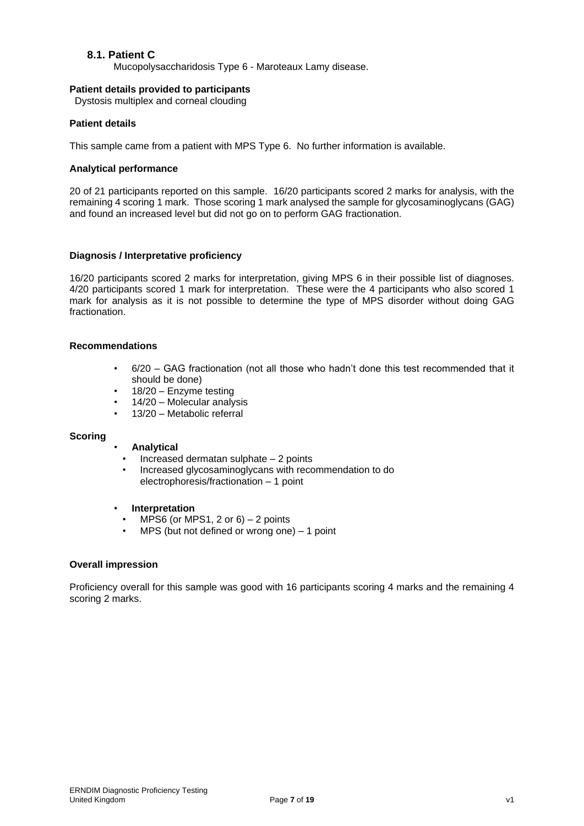# **8.1. Patient C**

Mucopolysaccharidosis Type 6 - Maroteaux Lamy disease.

### **Patient details provided to participants**

Dystosis multiplex and corneal clouding

## **Patient details**

This sample came from a patient with MPS Type 6. No further information is available.

## **Analytical performance**

20 of 21 participants reported on this sample. 16/20 participants scored 2 marks for analysis, with the remaining 4 scoring 1 mark. Those scoring 1 mark analysed the sample for glycosaminoglycans (GAG) and found an increased level but did not go on to perform GAG fractionation.

## **Diagnosis / Interpretative proficiency**

16/20 participants scored 2 marks for interpretation, giving MPS 6 in their possible list of diagnoses. 4/20 participants scored 1 mark for interpretation. These were the 4 participants who also scored 1 mark for analysis as it is not possible to determine the type of MPS disorder without doing GAG fractionation.

#### **Recommendations**

- 6/20 GAG fractionation (not all those who hadn't done this test recommended that it should be done)
- 18/20 Enzyme testing
- 14/20 Molecular analysis
- 13/20 Metabolic referral

## **Scoring**

## • **Analytical**

- Increased dermatan sulphate 2 points
- Increased glycosaminoglycans with recommendation to do electrophoresis/fractionation – 1 point

#### • **Interpretation**

- MPS6 (or MPS1, 2 or  $6$ ) 2 points
- MPS (but not defined or wrong one) 1 point

#### **Overall impression**

Proficiency overall for this sample was good with 16 participants scoring 4 marks and the remaining 4 scoring 2 marks.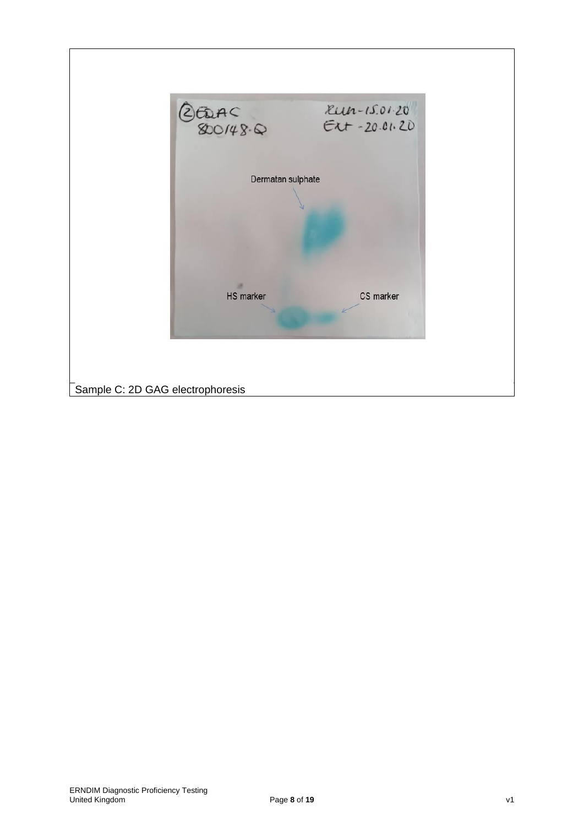| $Run-15.01.20$<br>EGRAC<br>800148.0<br>$E1 + 20.01.20$ |
|--------------------------------------------------------|
| Dermatan sulphate                                      |
|                                                        |
| CS marker<br>HS marker                                 |
| Sample C: 2D GAG electrophoresis                       |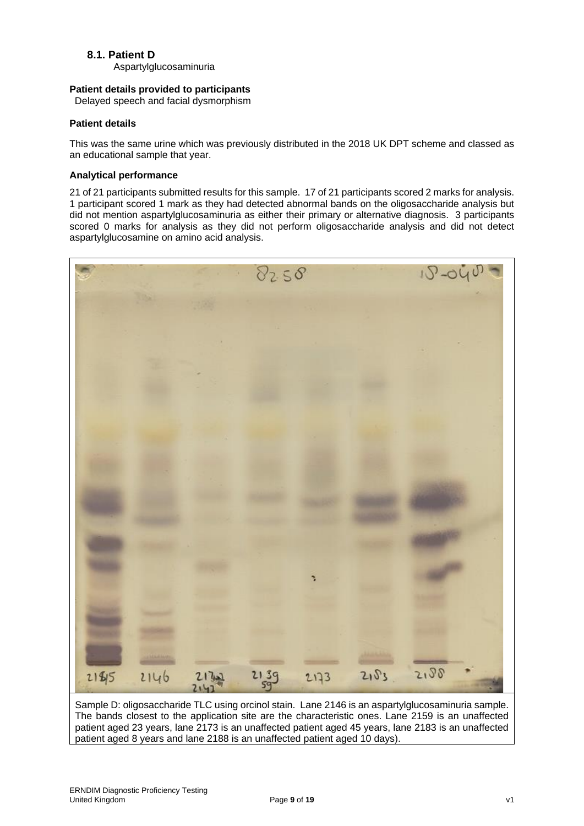# **8.1. Patient D**

Aspartylglucosaminuria

# **Patient details provided to participants**

Delayed speech and facial dysmorphism

# **Patient details**

This was the same urine which was previously distributed in the 2018 UK DPT scheme and classed as an educational sample that year.

# **Analytical performance**

21 of 21 participants submitted results for this sample. 17 of 21 participants scored 2 marks for analysis. 1 participant scored 1 mark as they had detected abnormal bands on the oligosaccharide analysis but did not mention aspartylglucosaminuria as either their primary or alternative diagnosis. 3 participants scored 0 marks for analysis as they did not perform oligosaccharide analysis and did not detect aspartylglucosamine on amino acid analysis.



Sample D: oligosaccharide TLC using orcinol stain. Lane 2146 is an aspartylglucosaminuria sample. The bands closest to the application site are the characteristic ones. Lane 2159 is an unaffected patient aged 23 years, lane 2173 is an unaffected patient aged 45 years, lane 2183 is an unaffected patient aged 8 years and lane 2188 is an unaffected patient aged 10 days).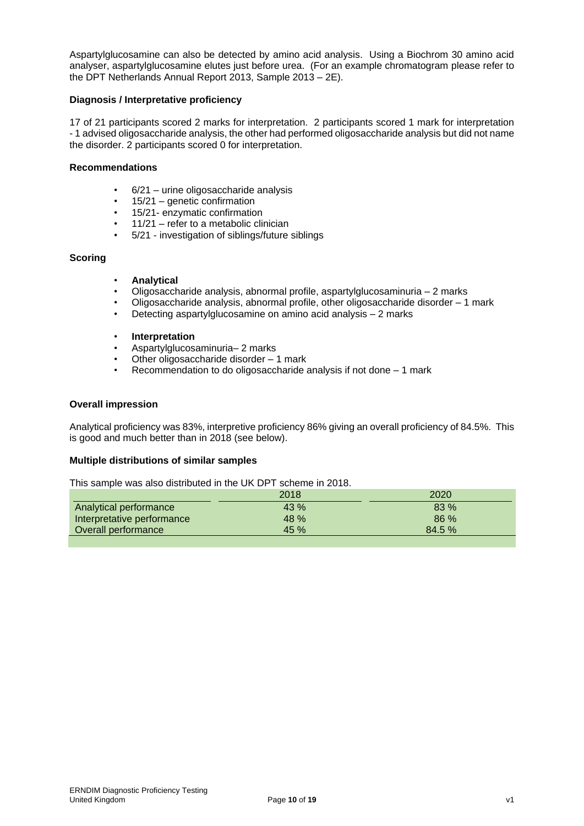Aspartylglucosamine can also be detected by amino acid analysis. Using a Biochrom 30 amino acid analyser, aspartylglucosamine elutes just before urea. (For an example chromatogram please refer to the DPT Netherlands Annual Report 2013, Sample 2013 – 2E).

## **Diagnosis / Interpretative proficiency**

17 of 21 participants scored 2 marks for interpretation. 2 participants scored 1 mark for interpretation - 1 advised oligosaccharide analysis, the other had performed oligosaccharide analysis but did not name the disorder. 2 participants scored 0 for interpretation.

## **Recommendations**

- 6/21 urine oligosaccharide analysis
- 15/21 genetic confirmation
- 15/21- enzymatic confirmation
- 11/21 refer to a metabolic clinician
- 5/21 investigation of siblings/future siblings

#### **Scoring**

- **Analytical**
- Oligosaccharide analysis, abnormal profile, aspartylglucosaminuria 2 marks
- Oligosaccharide analysis, abnormal profile, other oligosaccharide disorder 1 mark
- Detecting aspartylglucosamine on amino acid analysis 2 marks
- **Interpretation**
- Aspartylglucosaminuria– 2 marks
- Other oligosaccharide disorder 1 mark
- Recommendation to do oligosaccharide analysis if not done 1 mark

#### **Overall impression**

Analytical proficiency was 83%, interpretive proficiency 86% giving an overall proficiency of 84.5%. This is good and much better than in 2018 (see below).

#### **Multiple distributions of similar samples**

This sample was also distributed in the UK DPT scheme in 2018.

|                            | 2018 | 2020   |
|----------------------------|------|--------|
| Analytical performance     | 43%  | 83 %   |
| Interpretative performance | 48 % | 86%    |
| Overall performance        | 45%  | 84.5 % |
|                            |      |        |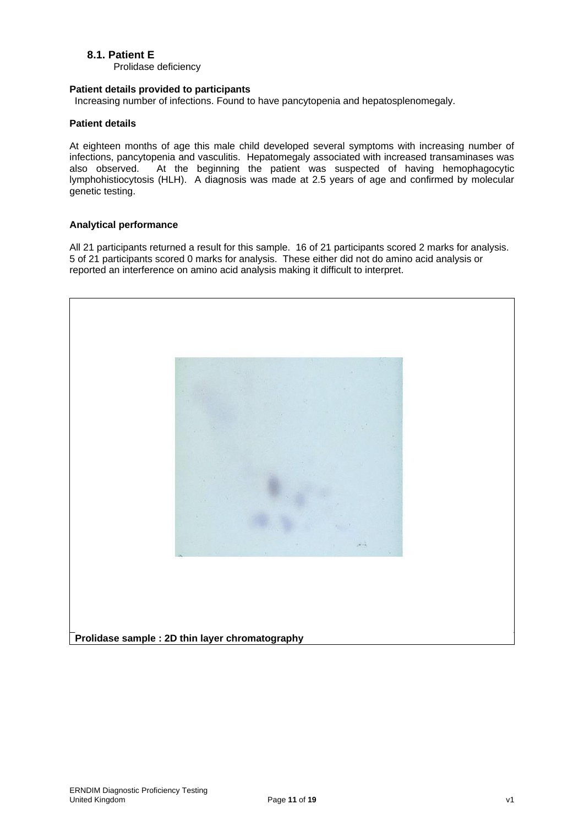# **8.1. Patient E**

Prolidase deficiency

## **Patient details provided to participants**

Increasing number of infections. Found to have pancytopenia and hepatosplenomegaly.

## **Patient details**

At eighteen months of age this male child developed several symptoms with increasing number of infections, pancytopenia and vasculitis. Hepatomegaly associated with increased transaminases was also observed. At the beginning the patient was suspected of having hemophagocytic At the beginning the patient was suspected of having hemophagocytic lymphohistiocytosis (HLH). A diagnosis was made at 2.5 years of age and confirmed by molecular genetic testing.

## **Analytical performance**

All 21 participants returned a result for this sample. 16 of 21 participants scored 2 marks for analysis. 5 of 21 participants scored 0 marks for analysis. These either did not do amino acid analysis or reported an interference on amino acid analysis making it difficult to interpret.



**Prolidase sample : 2D thin layer chromatography**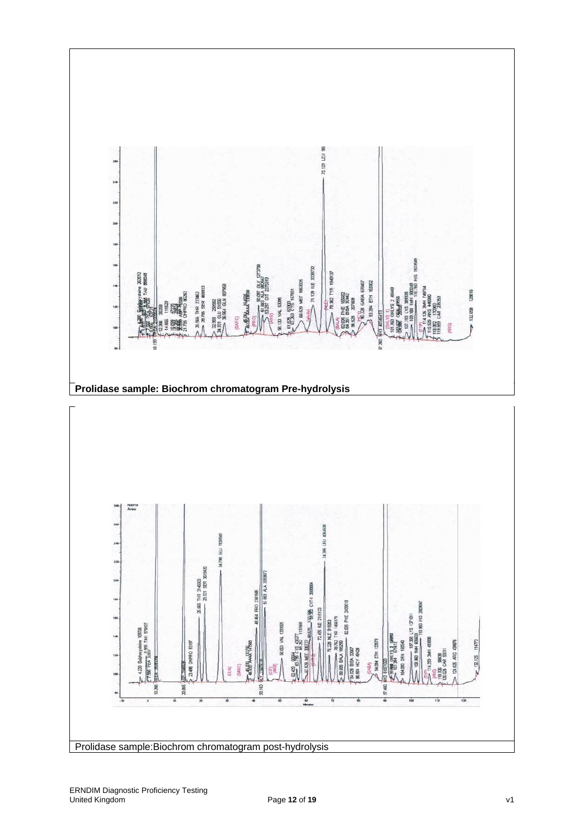



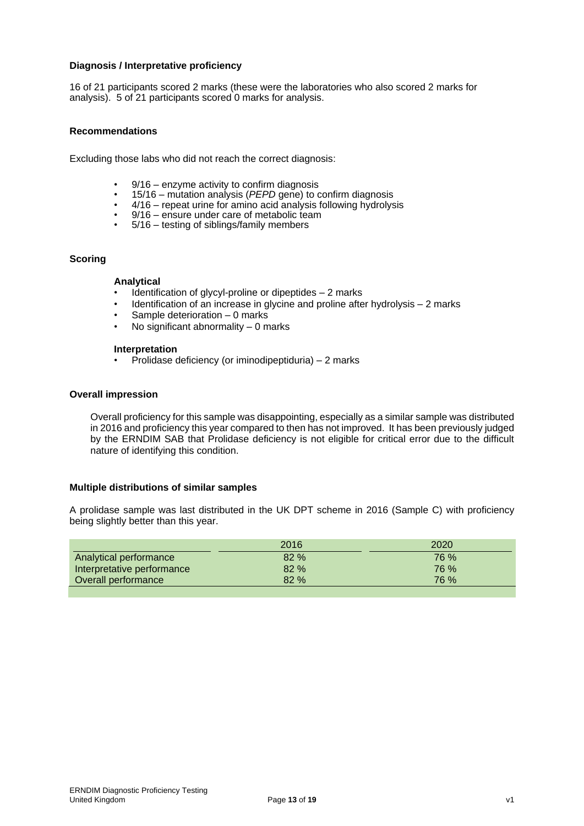## **Diagnosis / Interpretative proficiency**

16 of 21 participants scored 2 marks (these were the laboratories who also scored 2 marks for analysis). 5 of 21 participants scored 0 marks for analysis.

## **Recommendations**

Excluding those labs who did not reach the correct diagnosis:

- $9/16$  enzyme activity to confirm diagnosis<br>•  $15/16$  mutation analysis (*DEDD* gang) to c
- 15/16 mutation analysis (*PEPD* gene) to confirm diagnosis
- 4/16 repeat urine for amino acid analysis following hydrolysis
- 9/16 ensure under care of metabolic team
- 5/16 testing of siblings/family members

#### **Scoring**

#### **Analytical**

- Identification of glycyl-proline or dipeptides 2 marks
- Identification of an increase in glycine and proline after hydrolysis 2 marks
- Sample deterioration 0 marks
- No significant abnormality 0 marks

#### **Interpretation**

• Prolidase deficiency (or iminodipeptiduria) – 2 marks

#### **Overall impression**

Overall proficiency for this sample was disappointing, especially as a similar sample was distributed in 2016 and proficiency this year compared to then has not improved. It has been previously judged by the ERNDIM SAB that Prolidase deficiency is not eligible for critical error due to the difficult nature of identifying this condition.

#### **Multiple distributions of similar samples**

A prolidase sample was last distributed in the UK DPT scheme in 2016 (Sample C) with proficiency being slightly better than this year.

|                            | 2016 | 2020        |
|----------------------------|------|-------------|
| Analytical performance     | 82%  | <b>76 %</b> |
| Interpretative performance | 82%  | 76 %        |
| Overall performance        | 82%  | 76 %        |
|                            |      |             |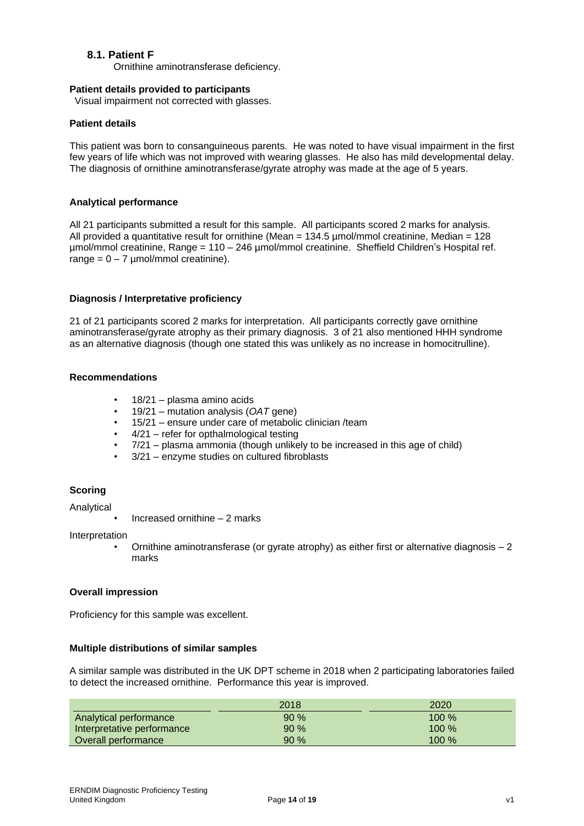# **8.1. Patient F**

Ornithine aminotransferase deficiency.

#### **Patient details provided to participants**

Visual impairment not corrected with glasses.

## **Patient details**

This patient was born to consanguineous parents. He was noted to have visual impairment in the first few years of life which was not improved with wearing glasses. He also has mild developmental delay. The diagnosis of ornithine aminotransferase/gyrate atrophy was made at the age of 5 years.

## **Analytical performance**

All 21 participants submitted a result for this sample. All participants scored 2 marks for analysis. All provided a quantitative result for ornithine (Mean =  $134.5$  µmol/mmol creatinine, Median =  $128$ µmol/mmol creatinine, Range = 110 – 246 µmol/mmol creatinine. Sheffield Children's Hospital ref.  $r$ ange = 0 – 7 µmol/mmol creatinine).

## **Diagnosis / Interpretative proficiency**

21 of 21 participants scored 2 marks for interpretation. All participants correctly gave ornithine aminotransferase/gyrate atrophy as their primary diagnosis. 3 of 21 also mentioned HHH syndrome as an alternative diagnosis (though one stated this was unlikely as no increase in homocitrulline).

#### **Recommendations**

- 18/21 plasma amino acids
- 19/21 mutation analysis (*OAT* gene)
- 15/21 ensure under care of metabolic clinician /team
- 4/21 refer for opthalmological testing
- 7/21 plasma ammonia (though unlikely to be increased in this age of child)
- 3/21 enzyme studies on cultured fibroblasts

## **Scoring**

Analytical

• Increased ornithine – 2 marks

Interpretation

Ornithine aminotransferase (or gyrate atrophy) as either first or alternative diagnosis  $-2$ marks

#### **Overall impression**

Proficiency for this sample was excellent.

#### **Multiple distributions of similar samples**

A similar sample was distributed in the UK DPT scheme in 2018 when 2 participating laboratories failed to detect the increased ornithine. Performance this year is improved.

|                            | 2018   | 2020    |
|----------------------------|--------|---------|
| Analytical performance     | 90%    | $100\%$ |
| Interpretative performance | $90\%$ | $100\%$ |
| Overall performance        | 90%    | $100\%$ |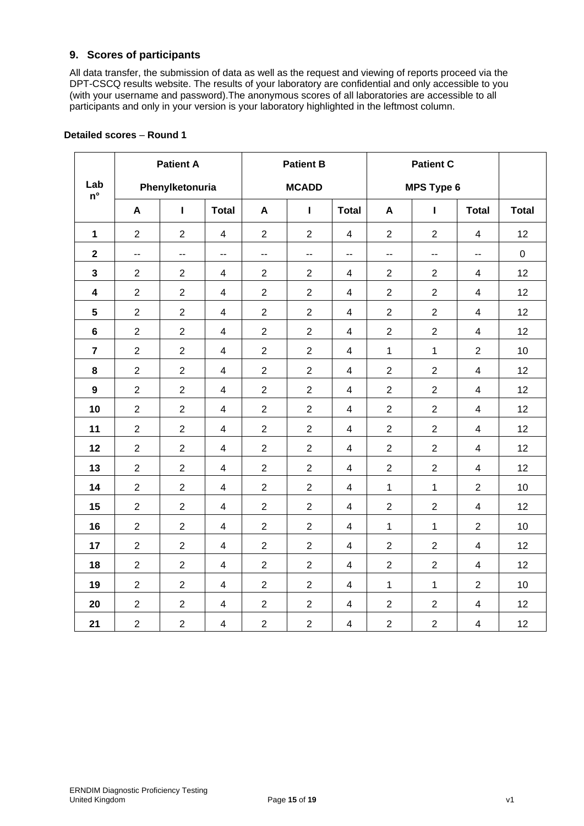# **9. Scores of participants**

All data transfer, the submission of data as well as the request and viewing of reports proceed via the DPT-CSCQ results website. The results of your laboratory are confidential and only accessible to you (with your username and password).The anonymous scores of all laboratories are accessible to all participants and only in your version is your laboratory highlighted in the leftmost column.

|                         |                | <b>Patient A</b>         |                          | <b>Patient B</b> |                |                          | <b>Patient C</b> |                |                          |              |  |
|-------------------------|----------------|--------------------------|--------------------------|------------------|----------------|--------------------------|------------------|----------------|--------------------------|--------------|--|
| Lab<br>$n^{\circ}$      |                | Phenylketonuria          |                          |                  | <b>MCADD</b>   |                          |                  | MPS Type 6     |                          |              |  |
|                         | A              | п                        | <b>Total</b>             | A                | $\mathbf{I}$   | <b>Total</b>             | A                | Т              | <b>Total</b>             | <b>Total</b> |  |
| $\mathbf 1$             | $\overline{2}$ | $\overline{2}$           | $\overline{4}$           | $\overline{2}$   | $\overline{2}$ | $\overline{4}$           | $\overline{2}$   | $\overline{2}$ | $\overline{\mathbf{4}}$  | 12           |  |
| $\mathbf{2}$            | $\overline{a}$ | $\overline{\phantom{a}}$ | $\overline{\phantom{a}}$ | ц,               | $\overline{a}$ | $\overline{\phantom{a}}$ | $-$              | --             | --                       | $\pmb{0}$    |  |
| $\mathbf{3}$            | $\overline{2}$ | $\overline{2}$           | $\overline{4}$           | $\overline{2}$   | $\overline{2}$ | $\overline{4}$           | $\overline{2}$   | $\overline{2}$ | $\overline{4}$           | 12           |  |
| $\overline{\mathbf{4}}$ | $\overline{2}$ | $\overline{2}$           | $\overline{4}$           | $\overline{2}$   | $\overline{2}$ | $\overline{\mathbf{4}}$  | $\overline{2}$   | $\overline{2}$ | 4                        | 12           |  |
| $5\phantom{.0}$         | $\overline{2}$ | $\overline{2}$           | $\overline{4}$           | $\overline{2}$   | $\overline{2}$ | $\overline{4}$           | $\overline{2}$   | $\overline{2}$ | 4                        | 12           |  |
| $6\phantom{a}$          | $\overline{2}$ | $\overline{2}$           | $\overline{4}$           | $\overline{2}$   | $\overline{2}$ | $\overline{4}$           | $\overline{2}$   | $\overline{2}$ | $\overline{\mathbf{4}}$  | 12           |  |
| $\overline{7}$          | $\overline{2}$ | $\overline{2}$           | $\overline{4}$           | $\overline{2}$   | $\overline{2}$ | $\overline{4}$           | 1                | $\mathbf{1}$   | $\overline{2}$           | 10           |  |
| 8                       | $\overline{2}$ | $\overline{2}$           | $\overline{4}$           | $\overline{2}$   | $\overline{2}$ | $\overline{4}$           | $\overline{2}$   | $\overline{2}$ | $\overline{\mathbf{4}}$  | 12           |  |
| $\boldsymbol{9}$        | $\mathbf 2$    | $\overline{2}$           | $\overline{4}$           | $\overline{2}$   | $\overline{2}$ | $\overline{4}$           | $\overline{c}$   | $\overline{2}$ | $\overline{4}$           | 12           |  |
| 10                      | $\overline{2}$ | $\overline{2}$           | $\overline{4}$           | $\overline{2}$   | $\overline{2}$ | $\overline{4}$           | $\overline{2}$   | $\overline{2}$ | $\overline{\mathbf{4}}$  | 12           |  |
| 11                      | $\sqrt{2}$     | $\overline{2}$           | $\overline{4}$           | $\overline{2}$   | $\overline{2}$ | $\overline{4}$           | $\sqrt{2}$       | $\overline{2}$ | $\overline{\mathbf{4}}$  | 12           |  |
| 12                      | $\overline{2}$ | $\overline{2}$           | $\overline{4}$           | $\overline{2}$   | $\overline{2}$ | $\overline{4}$           | $\overline{2}$   | $\overline{2}$ | $\overline{\mathcal{L}}$ | 12           |  |
| 13                      | $\overline{2}$ | $\overline{2}$           | $\overline{4}$           | $\overline{2}$   | $\overline{2}$ | $\overline{4}$           | $\overline{2}$   | $\overline{2}$ | $\overline{4}$           | 12           |  |
| 14                      | $\overline{2}$ | $\overline{2}$           | $\overline{4}$           | $\overline{2}$   | $\overline{2}$ | $\overline{4}$           | $\mathbf{1}$     | $\mathbf{1}$   | $\overline{2}$           | 10           |  |
| 15                      | $\overline{2}$ | $\overline{2}$           | $\overline{4}$           | $\overline{2}$   | $\overline{2}$ | $\overline{4}$           | $\overline{2}$   | $\overline{2}$ | $\overline{\mathbf{4}}$  | 12           |  |
| 16                      | $\overline{2}$ | $\overline{2}$           | $\overline{4}$           | $\overline{2}$   | $\overline{2}$ | $\overline{4}$           | $\mathbf 1$      | $\mathbf{1}$   | $\overline{2}$           | 10           |  |
| 17                      | $\overline{2}$ | $\overline{2}$           | $\overline{4}$           | $\overline{2}$   | $\overline{2}$ | $\overline{4}$           | $\overline{2}$   | $\overline{2}$ | $\overline{\mathbf{4}}$  | 12           |  |
| 18                      | $\overline{2}$ | $\overline{2}$           | $\overline{4}$           | $\overline{2}$   | $\overline{2}$ | $\overline{4}$           | $\overline{2}$   | $\overline{2}$ | $\overline{\mathbf{4}}$  | 12           |  |
| 19                      | $\overline{2}$ | $\overline{2}$           | $\overline{4}$           | $\overline{2}$   | $\overline{2}$ | $\overline{4}$           | 1                | $\mathbf{1}$   | $\overline{2}$           | 10           |  |
| 20                      | $\overline{2}$ | $\overline{2}$           | $\overline{\mathcal{A}}$ | $\overline{c}$   | $\overline{2}$ | $\overline{4}$           | $\overline{2}$   | $\overline{2}$ | 4                        | 12           |  |
| 21                      | $\overline{2}$ | $\overline{2}$           | $\overline{4}$           | $\overline{2}$   | $\overline{2}$ | $\overline{4}$           | $\overline{2}$   | $\overline{2}$ | $\overline{\mathbf{4}}$  | 12           |  |

# **Detailed scores** – **Round 1**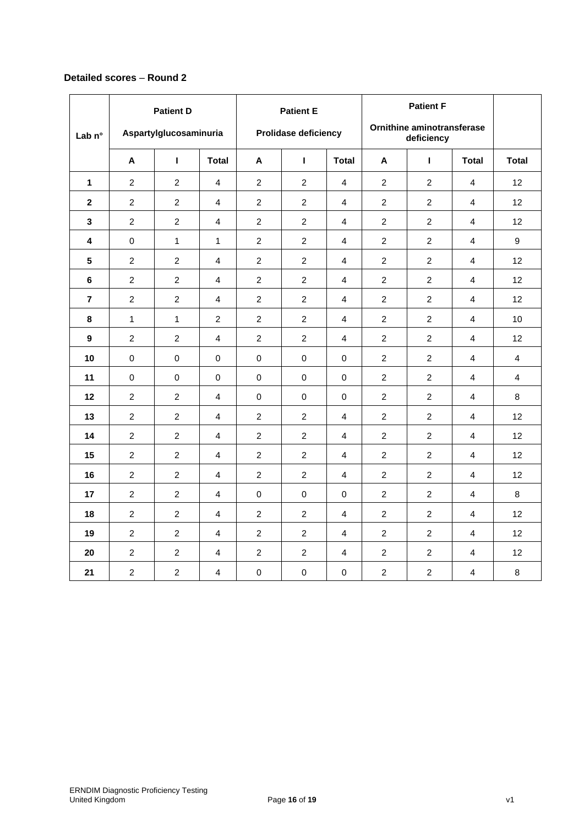# **Detailed scores** – **Round 2**

| Lab $n^{\circ}$ | <b>Patient D</b><br>Aspartylglucosaminuria |                |                | <b>Patient E</b><br><b>Prolidase deficiency</b> |                |                | <b>Patient F</b><br><b>Ornithine aminotransferase</b><br>deficiency |                |                |                   |
|-----------------|--------------------------------------------|----------------|----------------|-------------------------------------------------|----------------|----------------|---------------------------------------------------------------------|----------------|----------------|-------------------|
|                 | Α                                          | $\mathbf{I}$   | <b>Total</b>   | Α                                               | L              | <b>Total</b>   | Α                                                                   | г              | <b>Total</b>   | <b>Total</b>      |
| $\mathbf{1}$    | $\overline{2}$                             | $\overline{2}$ | 4              | $\overline{2}$                                  | $\overline{2}$ | $\overline{4}$ | $\overline{2}$                                                      | $\overline{2}$ | $\overline{4}$ | 12                |
| $\mathbf{2}$    | $\overline{2}$                             | $\overline{2}$ | 4              | $\overline{2}$                                  | $\overline{2}$ | $\overline{4}$ | $\overline{2}$                                                      | $\overline{2}$ | $\overline{4}$ | 12 <sup>2</sup>   |
| 3               | $\overline{2}$                             | $\overline{2}$ | 4              | $\overline{c}$                                  | $\overline{2}$ | $\overline{4}$ | $\overline{2}$                                                      | $\overline{2}$ | 4              | 12                |
| 4               | 0                                          | $\mathbf{1}$   | $\mathbf{1}$   | $\overline{c}$                                  | $\overline{2}$ | $\overline{4}$ | $\overline{2}$                                                      | $\overline{2}$ | $\overline{4}$ | 9                 |
| 5               | $\overline{2}$                             | $\overline{2}$ | $\overline{4}$ | $\overline{2}$                                  | $\overline{2}$ | $\overline{4}$ | $\overline{2}$                                                      | $\overline{2}$ | 4              | 12                |
| 6               | $\overline{2}$                             | $\overline{2}$ | $\overline{4}$ | $\overline{c}$                                  | $\overline{c}$ | $\overline{4}$ | $\overline{2}$                                                      | $\overline{2}$ | 4              | 12                |
| $\overline{7}$  | $\overline{2}$                             | $\overline{c}$ | $\overline{4}$ | $\overline{c}$                                  | $\overline{c}$ | $\overline{4}$ | $\overline{2}$                                                      | $\overline{2}$ | $\overline{4}$ | 12                |
| 8               | $\mathbf{1}$                               | $\mathbf{1}$   | $\overline{2}$ | $\overline{c}$                                  | $\overline{c}$ | $\overline{4}$ | $\overline{2}$                                                      | $\overline{2}$ | $\overline{4}$ | 10                |
| 9               | $\overline{2}$                             | $\overline{2}$ | $\overline{4}$ | $\overline{c}$                                  | $\overline{2}$ | $\overline{4}$ | $\overline{2}$                                                      | $\overline{2}$ | 4              | 12                |
| 10              | 0                                          | $\mathbf 0$    | $\mathbf 0$    | $\mathbf 0$                                     | $\mathbf 0$    | $\mathbf 0$    | $\overline{2}$                                                      | $\overline{2}$ | $\overline{4}$ | $\overline{4}$    |
| 11              | 0                                          | $\mathbf 0$    | $\mathbf 0$    | $\mathbf 0$                                     | $\mathbf 0$    | $\mathbf 0$    | 2                                                                   | 2              | $\overline{4}$ | 4                 |
| 12              | $\overline{2}$                             | 2              | $\overline{4}$ | $\mathbf 0$                                     | $\mathbf 0$    | $\mathbf 0$    | 2                                                                   | $\overline{2}$ | $\overline{4}$ | 8                 |
| 13              | $\overline{2}$                             | $\overline{2}$ | 4              | $\overline{2}$                                  | $\overline{2}$ | $\overline{4}$ | $\overline{2}$                                                      | $\overline{2}$ | 4              | $12 \overline{ }$ |
| 14              | $\overline{2}$                             | $\overline{2}$ | $\overline{4}$ | $\overline{2}$                                  | $\overline{2}$ | $\overline{4}$ | $\overline{2}$                                                      | $\overline{2}$ | 4              | 12                |
| 15              | $\overline{2}$                             | $\overline{2}$ | $\overline{4}$ | $\overline{2}$                                  | $\overline{2}$ | $\overline{4}$ | $\overline{2}$                                                      | $\overline{2}$ | $\overline{4}$ | 12                |
| 16              | $\overline{2}$                             | $\overline{2}$ | $\overline{4}$ | $\overline{2}$                                  | $\overline{2}$ | $\overline{4}$ | $\overline{2}$                                                      | $\overline{2}$ | 4              | 12                |
| 17              | $\overline{2}$                             | $\overline{2}$ | $\overline{4}$ | $\mathbf 0$                                     | $\mathbf 0$    | $\mathbf 0$    | $\overline{2}$                                                      | $\overline{2}$ | 4              | 8                 |
| 18              | $\overline{c}$                             | $\overline{2}$ | $\overline{4}$ | $\overline{2}$                                  | $\overline{2}$ | $\overline{4}$ | $\overline{2}$                                                      | $\overline{2}$ | $\overline{4}$ | 12                |
| 19              | $\overline{2}$                             | $\overline{2}$ | 4              | $\overline{2}$                                  | $\overline{2}$ | $\overline{4}$ | $\overline{2}$                                                      | $\overline{2}$ | 4              | 12                |
| 20              | $\overline{2}$                             | $\overline{2}$ | $\overline{4}$ | $\overline{c}$                                  | $\overline{c}$ | $\overline{4}$ | $\overline{2}$                                                      | $\overline{2}$ | $\overline{4}$ | 12                |
| 21              | $\overline{2}$                             | $\overline{c}$ | 4              | $\pmb{0}$                                       | 0              | 0              | $\overline{c}$                                                      | $\overline{2}$ | 4              | 8                 |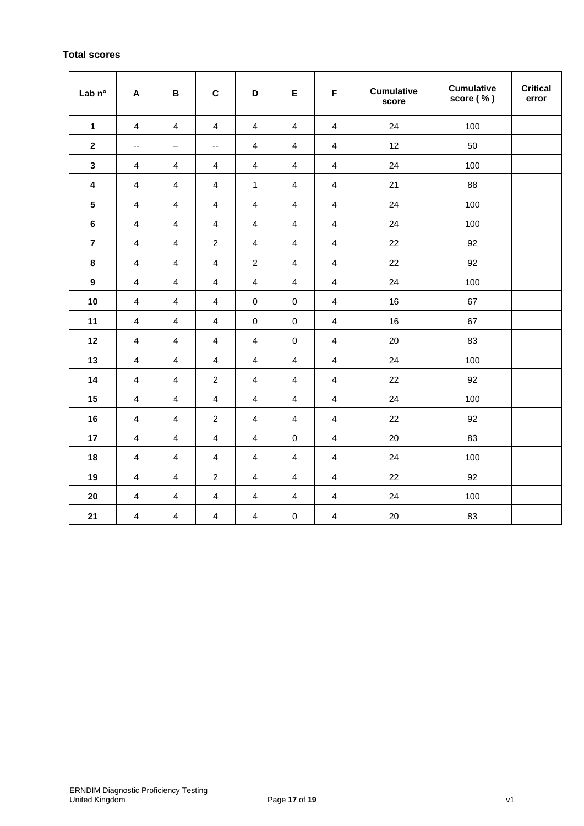# **Total scores**

| Lab n°                  | $\boldsymbol{\mathsf{A}}$ | $\, {\bf B}$             | $\mathbf C$              | $\mathbf D$             | E                       | F                       | <b>Cumulative</b><br>score | <b>Cumulative</b><br>score (%) | <b>Critical</b><br>error |
|-------------------------|---------------------------|--------------------------|--------------------------|-------------------------|-------------------------|-------------------------|----------------------------|--------------------------------|--------------------------|
| $\mathbf{1}$            | $\overline{4}$            | $\overline{\mathbf{4}}$  | 4                        | 4                       | $\overline{\mathbf{4}}$ | $\overline{\mathbf{4}}$ | 24                         | 100                            |                          |
| $\mathbf{2}$            | --                        | $\overline{\phantom{a}}$ | $\overline{\phantom{a}}$ | $\overline{\mathbf{4}}$ | $\overline{\mathbf{4}}$ | $\overline{\mathbf{4}}$ | 12                         | 50                             |                          |
| $\mathbf{3}$            | $\overline{\mathbf{4}}$   | 4                        | 4                        | 4                       | $\overline{4}$          | $\overline{4}$          | 24                         | 100                            |                          |
| $\overline{\mathbf{4}}$ | $\overline{\mathbf{4}}$   | 4                        | 4                        | $\mathbf{1}$            | $\overline{4}$          | $\overline{\mathbf{4}}$ | 21                         | 88                             |                          |
| ${\bf 5}$               | $\overline{\mathbf{4}}$   | $\overline{\mathbf{4}}$  | $\overline{\mathbf{4}}$  | $\overline{\mathbf{4}}$ | $\overline{4}$          | $\overline{4}$          | 24                         | 100                            |                          |
| $\bf 6$                 | $\overline{\mathbf{4}}$   | 4                        | 4                        | 4                       | 4                       | 4                       | 24                         | 100                            |                          |
| $\overline{7}$          | $\overline{\mathbf{4}}$   | 4                        | $\overline{c}$           | $\overline{\mathbf{4}}$ | $\overline{4}$          | $\overline{4}$          | 22                         | 92                             |                          |
| 8                       | $\overline{\mathbf{4}}$   | 4                        | $\overline{\mathbf{4}}$  | $\overline{c}$          | 4                       | 4                       | 22                         | 92                             |                          |
| $\boldsymbol{9}$        | $\overline{\mathbf{4}}$   | $\overline{\mathbf{4}}$  | $\overline{\mathbf{4}}$  | $\overline{\mathbf{4}}$ | $\overline{\mathbf{4}}$ | $\overline{4}$          | 24                         | 100                            |                          |
| 10                      | $\overline{\mathbf{4}}$   | $\overline{\mathbf{4}}$  | 4                        | $\pmb{0}$               | $\pmb{0}$               | $\overline{4}$          | 16                         | 67                             |                          |
| 11                      | 4                         | 4                        | 4                        | 0                       | $\pmb{0}$               | $\overline{4}$          | 16                         | 67                             |                          |
| 12                      | $\overline{\mathbf{4}}$   | $\overline{\mathbf{4}}$  | $\overline{\mathbf{4}}$  | $\overline{\mathbf{4}}$ | $\pmb{0}$               | $\overline{\mathbf{4}}$ | 20                         | 83                             |                          |
| 13                      | $\overline{\mathbf{4}}$   | $\overline{\mathbf{4}}$  | 4                        | 4                       | $\overline{\mathbf{4}}$ | $\overline{\mathbf{4}}$ | 24                         | 100                            |                          |
| 14                      | $\overline{\mathbf{4}}$   | $\overline{\mathbf{4}}$  | $\overline{c}$           | $\overline{\mathbf{4}}$ | $\overline{4}$          | $\overline{4}$          | 22                         | 92                             |                          |
| 15                      | $\overline{\mathbf{4}}$   | $\overline{\mathbf{4}}$  | $\overline{\mathbf{4}}$  | 4                       | $\overline{\mathbf{4}}$ | $\overline{4}$          | 24                         | 100                            |                          |
| 16                      | 4                         | 4                        | $\boldsymbol{2}$         | 4                       | $\overline{4}$          | $\overline{4}$          | 22                         | 92                             |                          |
| 17                      | $\overline{\mathbf{4}}$   | $\overline{\mathbf{4}}$  | $\overline{\mathbf{4}}$  | 4                       | $\pmb{0}$               | $\overline{4}$          | 20                         | 83                             |                          |
| 18                      | 4                         | $\overline{\mathbf{4}}$  | $\overline{\mathbf{4}}$  | $\overline{4}$          | 4                       | $\overline{4}$          | 24                         | 100                            |                          |
| 19                      | $\overline{\mathbf{4}}$   | $\overline{\mathbf{4}}$  | $\overline{c}$           | $\overline{\mathbf{4}}$ | $\overline{4}$          | $\overline{4}$          | 22                         | 92                             |                          |
| 20                      | $\overline{\mathbf{4}}$   | 4                        | 4                        | 4                       | 4                       | 4                       | 24                         | 100                            |                          |
| 21                      | $\overline{\mathbf{4}}$   | 4                        | 4                        | 4                       | 0                       | 4                       | 20                         | 83                             |                          |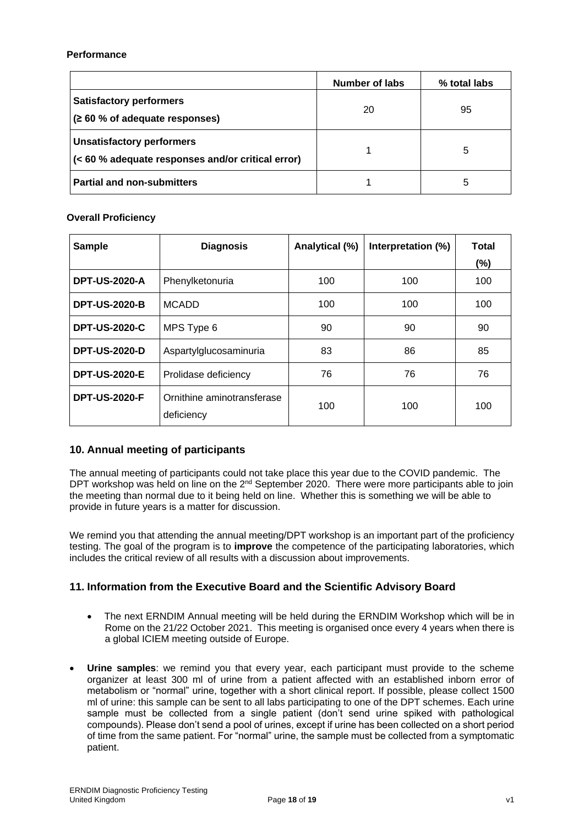## **Performance**

|                                                                                       | Number of labs | % total labs |
|---------------------------------------------------------------------------------------|----------------|--------------|
| <b>Satisfactory performers</b><br>(260 % of adequate responses)                       | 20             | 95           |
| <b>Unsatisfactory performers</b><br>(< 60 % adequate responses and/or critical error) |                | 5            |
| <b>Partial and non-submitters</b>                                                     |                | 5            |

## **Overall Proficiency**

| <b>Sample</b>        | <b>Diagnosis</b>                         | Analytical (%) | Interpretation (%) | <b>Total</b> |
|----------------------|------------------------------------------|----------------|--------------------|--------------|
|                      |                                          |                |                    | (%)          |
| <b>DPT-US-2020-A</b> | Phenylketonuria                          | 100            | 100                | 100          |
| <b>DPT-US-2020-B</b> | <b>MCADD</b>                             | 100            | 100                | 100          |
| <b>DPT-US-2020-C</b> | MPS Type 6                               | 90             | 90                 | 90           |
| <b>DPT-US-2020-D</b> | Aspartylglucosaminuria                   | 83             | 86                 | 85           |
| <b>DPT-US-2020-E</b> | Prolidase deficiency                     | 76             | 76                 | 76           |
| <b>DPT-US-2020-F</b> | Ornithine aminotransferase<br>deficiency | 100            | 100                | 100          |

## **10. Annual meeting of participants**

The annual meeting of participants could not take place this year due to the COVID pandemic. The DPT workshop was held on line on the 2<sup>nd</sup> September 2020. There were more participants able to join the meeting than normal due to it being held on line. Whether this is something we will be able to provide in future years is a matter for discussion.

We remind you that attending the annual meeting/DPT workshop is an important part of the proficiency testing. The goal of the program is to **improve** the competence of the participating laboratories, which includes the critical review of all results with a discussion about improvements.

## **11. Information from the Executive Board and the Scientific Advisory Board**

- The next ERNDIM Annual meeting will be held during the ERNDIM Workshop which will be in Rome on the 21/22 October 2021. This meeting is organised once every 4 years when there is a global ICIEM meeting outside of Europe.
- **Urine samples**: we remind you that every year, each participant must provide to the scheme organizer at least 300 ml of urine from a patient affected with an established inborn error of metabolism or "normal" urine, together with a short clinical report. If possible, please collect 1500 ml of urine: this sample can be sent to all labs participating to one of the DPT schemes. Each urine sample must be collected from a single patient (don't send urine spiked with pathological compounds). Please don't send a pool of urines, except if urine has been collected on a short period of time from the same patient. For "normal" urine, the sample must be collected from a symptomatic patient.